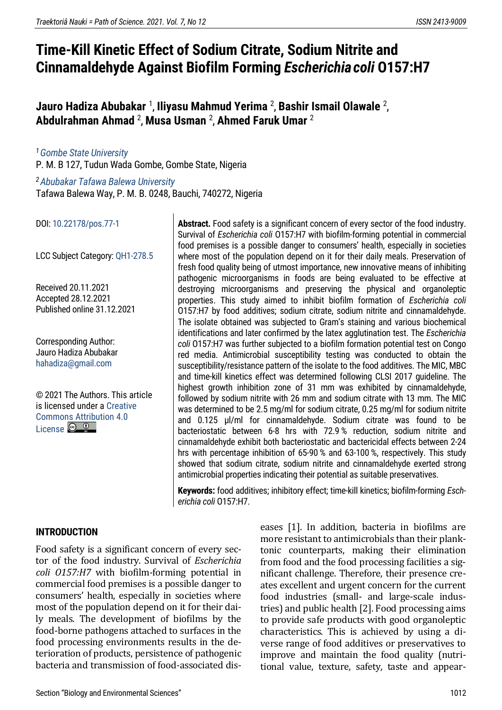# **Time-Kill Kinetic Effect of Sodium Citrate, Sodium Nitrite and Cinnamaldehyde Against Biofilm Forming** *Escherichiacoli* **O157:H7**

#### **Jauro Hadiza Abubakar** <sup>1</sup> , **Iliyasu Mahmud Yerima** <sup>2</sup> , **Bashir Ismail Olawale** <sup>2</sup> , **Abdulrahman Ahmad** <sup>2</sup> , **Musa Usman** <sup>2</sup> , **Ahmed Faruk Umar** <sup>2</sup>

*<sup>1</sup>[Gombe State University](https://gsu.edu.ng/home/)* P. M. B 127, Tudun Wada Gombe, Gombe State, Nigeria

*<sup>2</sup>[Abubakar Tafawa Balewa University](https://www.atbu.edu.ng/#/)* Tafawa Balewa Way, P. M. B. 0248, Bauchi, 740272, Nigeria

DOI[: 10.22178/pos.77-1](http://dx.doi.org/10.22178/pos.77-1)

LСC Subject Category: [QH1-278.5](https://www.loc.gov/aba/cataloging/classification/lcco/lcco_q.pdf)

Received 20.11.2021 Accepted 28.12.2021 Published online 31.12.2021

Corresponding Author: Jauro Hadiza Abubakar [hahadiza@gmail.com](mailto:hahadiza@gmail.com)

© 2021 The Authors[. This article](https://creativecommons.org/licenses/by/4.0/)  [is licensed under a Creative](https://creativecommons.org/licenses/by/4.0/)  [Commons Attribution 4.0](https://creativecommons.org/licenses/by/4.0/)   $L$ icense  $\odot$   $\odot$ 

**Abstract.** Food safety is a significant concern of every sector of the food industry. Survival of *Escherichia coli* O157:H7 with biofilm-forming potential in commercial food premises is a possible danger to consumers' health, especially in societies where most of the population depend on it for their daily meals. Preservation of fresh food quality being of utmost importance, new innovative means of inhibiting pathogenic microorganisms in foods are being evaluated to be effective at destroying microorganisms and preserving the physical and organoleptic properties. This study aimed to inhibit biofilm formation of *Escherichia coli* O157:H7 by food additives; sodium citrate, sodium nitrite and cinnamaldehyde. The isolate obtained was subjected to Gram's staining and various biochemical identifications and later confirmed by the latex agglutination test. The *Escherichia coli* O157:H7 was further subjected to a biofilm formation potential test on Congo red media. Antimicrobial susceptibility testing was conducted to obtain the susceptibility/resistance pattern of the isolate to the food additives. The MIC, MBC and time-kill kinetics effect was determined following CLSI 2017 guideline. The highest growth inhibition zone of 31 mm was exhibited by cinnamaldehyde, followed by sodium nitrite with 26 mm and sodium citrate with 13 mm. The MIC was determined to be 2.5 mg/ml for sodium citrate, 0.25 mg/ml for sodium nitrite and 0.125 µl/ml for cinnamaldehyde. Sodium citrate was found to be bacteriostatic between 6-8 hrs with 72.9 % reduction, sodium nitrite and cinnamaldehyde exhibit both bacteriostatic and bactericidal effects between 2-24 hrs with percentage inhibition of 65-90 % and 63-100 %, respectively. This study showed that sodium citrate, sodium nitrite and cinnamaldehyde exerted strong antimicrobial properties indicating their potential as suitable preservatives.

**Keywords:** food additives; inhibitory effect; time-kill kinetics; biofilm-forming *Escherichia coli* O157:H7.

# **INTRODUCTION**

Food safety is a significant concern of every sector of the food industry. Survival of *Escherichia coli O157:H7* with biofilm-forming potential in commercial food premises is a possible danger to consumers' health, especially in societies where most of the population depend on it for their daily meals. The development of biofilms by the food-borne pathogens attached to surfaces in the food processing environments results in the deterioration of products, persistence of pathogenic bacteria and transmission of food-associated diseases [1]. In addition, bacteria in biofilms are more resistant to antimicrobials than their planktonic counterparts, making their elimination from food and the food processing facilities a significant challenge. Therefore, their presence creates excellent and urgent concern for the current food industries (small- and large-scale industries) and public health [2]. Food processing aims to provide safe products with good organoleptic characteristics. This is achieved by using a diverse range of food additives or preservatives to improve and maintain the food quality (nutritional value, texture, safety, taste and appear-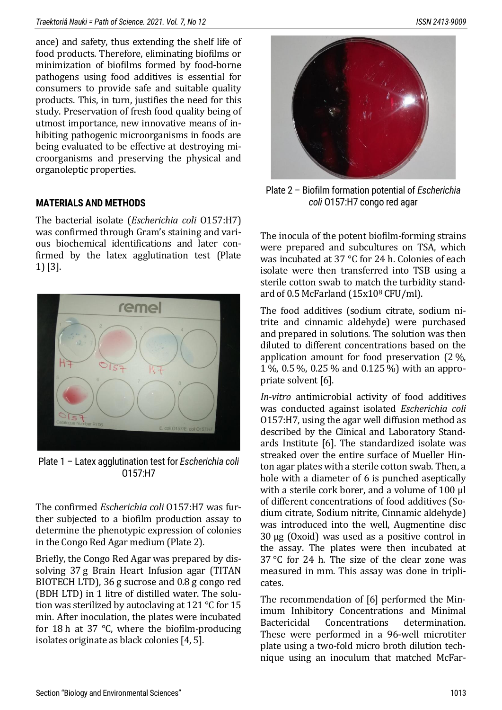ance) and safety, thus extending the shelf life of food products. Therefore, eliminating biofilms or minimization of biofilms formed by food-borne pathogens using food additives is essential for consumers to provide safe and suitable quality products. This, in turn, justifies the need for this study. Preservation of fresh food quality being of utmost importance, new innovative means of inhibiting pathogenic microorganisms in foods are being evaluated to be effective at destroying microorganisms and preserving the physical and organoleptic properties.

# **MATERIALS AND METHODS**

The bacterial isolate (*Escherichia coli* O157:H7) was confirmed through Gram's staining and various biochemical identifications and later confirmed by the latex agglutination test (Plate 1)[3].



Plate 1 – Latex agglutination test for *Escherichia coli*  O157:H7

The confirmed *Escherichia coli* O157:H7 was further subjected to a biofilm production assay to determine the phenotypic expression of colonies in the Congo Red Agar medium (Plate 2).

Briefly, the Congo Red Agar was prepared by dissolving 37 g Brain Heart Infusion agar (TITAN BIOTECH LTD), 36 g sucrose and 0.8 g congo red (BDH LTD) in 1 litre of distilled water. The solution was sterilized by autoclaving at 121 ℃ for 15 min. After inoculation, the plates were incubated for 18 h at 37 ℃, where the biofilm-producing isolates originate as black colonies [4, 5].



Plate 2 – Biofilm formation potential of *Escherichia coli* O157:H7 congo red agar

The inocula of the potent biofilm-forming strains were prepared and subcultures on TSA, which was incubated at 37 °C for 24 h. Colonies of each isolate were then transferred into TSB using a sterile cotton swab to match the turbidity standard of 0.5 McFarland (15x10<sup>8</sup> CFU/ml).

The food additives (sodium citrate, sodium nitrite and cinnamic aldehyde) were purchased and prepared in solutions. The solution was then diluted to different concentrations based on the application amount for food preservation (2 %, 1 %, 0.5 %, 0.25 % and 0.125 %) with an appropriate solvent [6].

*In-vitro* antimicrobial activity of food additives was conducted against isolated *Escherichia coli*  O157:H7, using the agar well diffusion method as described by the Clinical and Laboratory Standards Institute [6]. The standardized isolate was streaked over the entire surface of Mueller Hinton agar plates with a sterile cotton swab. Then, a hole with a diameter of 6 is punched aseptically with a sterile cork borer, and a volume of 100 µl of different concentrations of food additives (Sodium citrate, Sodium nitrite, Cinnamic aldehyde) was introduced into the well, Augmentine disc 30 µg (Oxoid) was used as a positive control in the assay. The plates were then incubated at 37 °C for 24 h. The size of the clear zone was measured in mm. This assay was done in triplicates.

The recommendation of [6] performed the Minimum Inhibitory Concentrations and Minimal Bactericidal Concentrations determination. These were performed in a 96-well microtiter plate using a two-fold micro broth dilution technique using an inoculum that matched McFar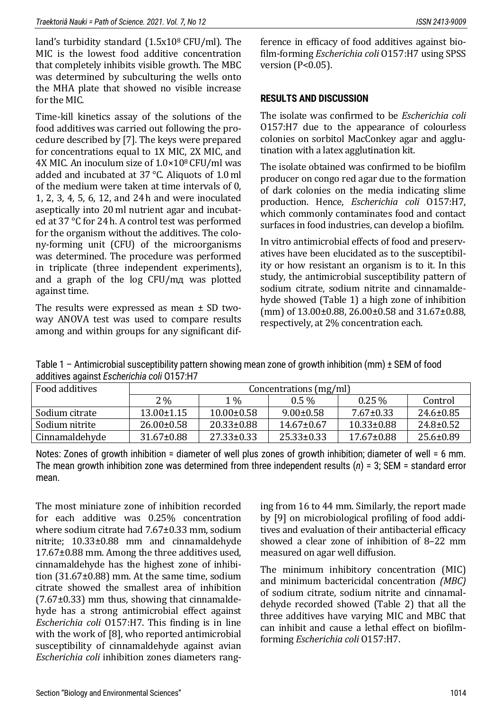land's turbidity standard (1.5x10<sup>8</sup> CFU/ml). The MIC is the lowest food additive concentration that completely inhibits visible growth. The MBC was determined by subculturing the wells onto the MHA plate that showed no visible increase for the MIC.

Time-kill kinetics assay of the solutions of the food additives was carried out following the procedure described by [7]. The keys were prepared for concentrations equal to 1X MIC, 2X MIC, and 4X MIC. An inoculum size of 1.0×108 CFU/ml was added and incubated at 37 °C. Aliquots of 1.0 ml of the medium were taken at time intervals of 0, 1, 2, 3, 4, 5, 6, 12, and 24 h and were inoculated aseptically into 20 ml nutrient agar and incubated at 37 °C for 24 h. A control test was performed for the organism without the additives. The colony-forming unit (CFU) of the microorganisms was determined. The procedure was performed in triplicate (three independent experiments), and a graph of the log CFU/mд was plotted against time.

The results were expressed as mean  $\pm$  SD twoway ANOVA test was used to compare results among and within groups for any significant difference in efficacy of food additives against biofilm-forming *Escherichia coli* O157:H7 using SPSS version (P<0.05).

# **RESULTS AND DISCUSSION**

The isolate was confirmed to be *Escherichia coli* O157:H7 due to the appearance of colourless colonies on sorbitol MacConkey agar and agglutination with a latex agglutination kit.

The isolate obtained was confirmed to be biofilm producer on congo red agar due to the formation of dark colonies on the media indicating slime production. Hence, *Escherichia coli* O157:H7, which commonly contaminates food and contact surfaces in food industries, can develop a biofilm.

In vitro antimicrobial effects of food and preservatives have been elucidated as to the susceptibility or how resistant an organism is to it. In this study, the antimicrobial susceptibility pattern of sodium citrate, sodium nitrite and cinnamaldehyde showed (Table 1) a high zone of inhibition (mm) of 13.00±0.88, 26.00±0.58 and 31.67±0.88, respectively, at 2% concentration each.

Table 1 – Antimicrobial susceptibility pattern showing mean zone of growth inhibition (mm) ± SEM of food additives against *Escherichia coli* O157:H7

| Food additives | Concentrations (mg/ml) |                  |                  |                  |                 |  |  |  |  |  |
|----------------|------------------------|------------------|------------------|------------------|-----------------|--|--|--|--|--|
|                | $2\%$                  | $1\%$            | $0.5\%$          | $0.25\%$         | Control         |  |  |  |  |  |
| Sodium citrate | $13.00 \pm 1.15$       | $10.00 \pm 0.58$ | $9.00 \pm 0.58$  | $7.67 \pm 0.33$  | $24.6 \pm 0.85$ |  |  |  |  |  |
| Sodium nitrite | $26.00 \pm 0.58$       | $20.33 \pm 0.88$ | $14.67 \pm 0.67$ | $10.33 \pm 0.88$ | $24.8 \pm 0.52$ |  |  |  |  |  |
| Cinnamaldehyde | $31.67 \pm 0.88$       | $27.33 \pm 0.33$ | $25.33 \pm 0.33$ | $17.67 \pm 0.88$ | $25.6 \pm 0.89$ |  |  |  |  |  |

Notes: Zones of growth inhibition = diameter of well plus zones of growth inhibition; diameter of well = 6 mm. The mean growth inhibition zone was determined from three independent results (*n*) = 3; SEM = standard error mean.

The most miniature zone of inhibition recorded for each additive was 0.25% concentration where sodium citrate had 7.67±0.33 mm, sodium nitrite; 10.33±0.88 mm and cinnamaldehyde 17.67±0.88 mm. Among the three additives used, cinnamaldehyde has the highest zone of inhibition (31.67±0.88) mm. At the same time, sodium citrate showed the smallest area of inhibition (7.67±0.33) mm thus, showing that cinnamaldehyde has a strong antimicrobial effect against *Escherichia coli* O157:H7. This finding is in line with the work of [8], who reported antimicrobial susceptibility of cinnamaldehyde against avian *Escherichia coli* inhibition zones diameters rang-

ing from 16 to 44 mm. Similarly, the report made by [9] on microbiological profiling of food additives and evaluation of their antibacterial efficacy showed a clear zone of inhibition of 8–22 mm measured on agar well diffusion.

The minimum inhibitory concentration (MIC) and minimum bactericidal concentration *(MBC)* of sodium citrate, sodium nitrite and cinnamaldehyde recorded showed (Table 2) that all the three additives have varying MIC and MBC that can inhibit and cause a lethal effect on biofilmforming *Escherichia coli* O157:H7.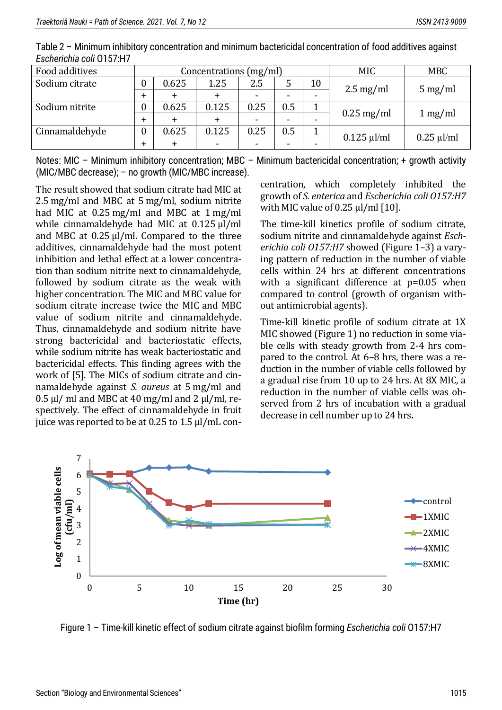| Food additives | Concentrations (mg/ml) |       |                |      |     |                          | <b>MIC</b>          | <b>MBC</b>           |
|----------------|------------------------|-------|----------------|------|-----|--------------------------|---------------------|----------------------|
| Sodium citrate |                        | 0.625 | 1.25           | 2.5  | 5   | 10                       | $2.5 \text{ mg/ml}$ | $5 \,\mathrm{mg/ml}$ |
|                |                        |       |                |      |     | $\overline{\phantom{0}}$ |                     |                      |
| Sodium nitrite |                        | 0.625 | 0.125          | 0.25 | 0.5 |                          |                     |                      |
|                |                        |       |                |      | -   | $\overline{\phantom{0}}$ | $0.25$ mg/ml        | 1 mg/ml              |
| Cinnamaldehyde |                        | 0.625 | 0.125          | 0.25 | 0.5 | T                        | $0.125 \mu$ l/ml    | $0.25 \mu$ l/ml      |
|                |                        |       | $\blacksquare$ |      |     | $\overline{\phantom{0}}$ |                     |                      |

Table 2 – Minimum inhibitory concentration and minimum bactericidal concentration of food additives against *Escherichia coli* O157:H7

Notes: MIC - Minimum inhibitory concentration; MBC - Minimum bactericidal concentration; + growth activity (MIC/MBC decrease); – no growth (MIC/MBC increase).

The result showed that sodium citrate had MIC at 2.5 mg/ml and MBC at 5 mg/ml, sodium nitrite had MIC at 0.25 mg/ml and MBC at 1 mg/ml while cinnamaldehyde had MIC at 0.125 µl/ml and MBC at 0.25 ul/ml. Compared to the three additives, cinnamaldehyde had the most potent inhibition and lethal effect at a lower concentration than sodium nitrite next to cinnamaldehyde, followed by sodium citrate as the weak with higher concentration. The MIC and MBC value for sodium citrate increase twice the MIC and MBC value of sodium nitrite and cinnamaldehyde. Thus, cinnamaldehyde and sodium nitrite have strong bactericidal and bacteriostatic effects, while sodium nitrite has weak bacteriostatic and bactericidal effects. This finding agrees with the work of [5]. The MICs of sodium citrate and cinnamaldehyde against *S. aureus* at 5 mg/ml and  $0.5$  µl/ ml and MBC at 40 mg/ml and 2 µl/ml, respectively. The effect of cinnamaldehyde in fruit juice was reported to be at 0.25 to 1.5 μl/mL con-

centration, which completely inhibited the growth of *S. enterica* and *Escherichia coli O157:H7* with MIC value of 0.25 μl/ml [10].

The time-kill kinetics profile of sodium citrate, sodium nitrite and cinnamaldehyde against *Escherichia coli O157:H7* showed (Figure 1–3) a varying pattern of reduction in the number of viable cells within 24 hrs at different concentrations with a significant difference at p=0.05 when compared to control (growth of organism without antimicrobial agents).

Time-kill kinetic profile of sodium citrate at 1X MIC showed (Figure 1) no reduction in some viable cells with steady growth from 2-4 hrs compared to the control. At 6–8 hrs, there was a reduction in the number of viable cells followed by a gradual rise from 10 up to 24 hrs. At 8X MIC, a reduction in the number of viable cells was observed from 2 hrs of incubation with a gradual decrease in cell number up to 24 hrs**.**



Figure 1 – Time-kill kinetic effect of sodium citrate against biofilm forming *Escherichia coli* O157:H7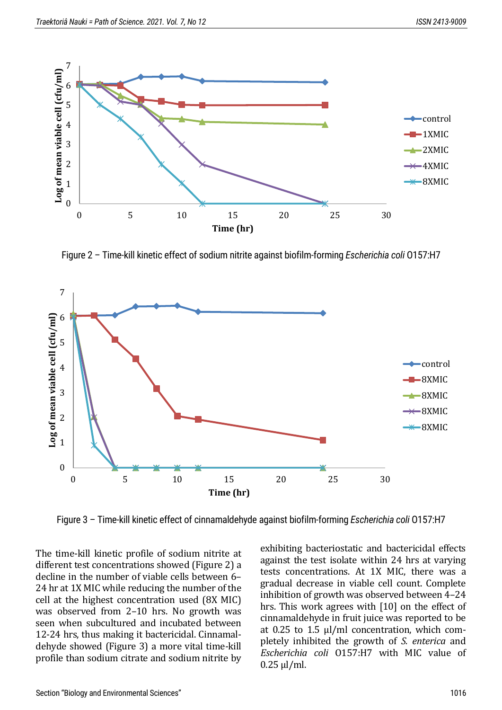

Figure 2 – Time-kill kinetic effect of sodium nitrite against biofilm-forming *Escherichia coli* O157:H7



Figure 3 – Time-kill kinetic effect of cinnamaldehyde against biofilm-forming *Escherichia coli* O157:H7

The time-kill kinetic profile of sodium nitrite at different test concentrations showed (Figure 2) a decline in the number of viable cells between 6– 24 hr at 1X MIC while reducing the number of the cell at the highest concentration used (8X MIC) was observed from 2–10 hrs. No growth was seen when subcultured and incubated between 12-24 hrs, thus making it bactericidal. Cinnamaldehyde showed (Figure 3) a more vital time-kill profile than sodium citrate and sodium nitrite by

exhibiting bacteriostatic and bactericidal effects against the test isolate within 24 hrs at varying tests concentrations. At 1X MIC, there was a gradual decrease in viable cell count. Complete inhibition of growth was observed between 4–24 hrs. This work agrees with [10] on the effect of cinnamaldehyde in fruit juice was reported to be at 0.25 to 1.5 μl/ml concentration, which completely inhibited the growth of *S. enterica* and *Escherichia coli* O157:H7 with MIC value of 0.25 μl/ml.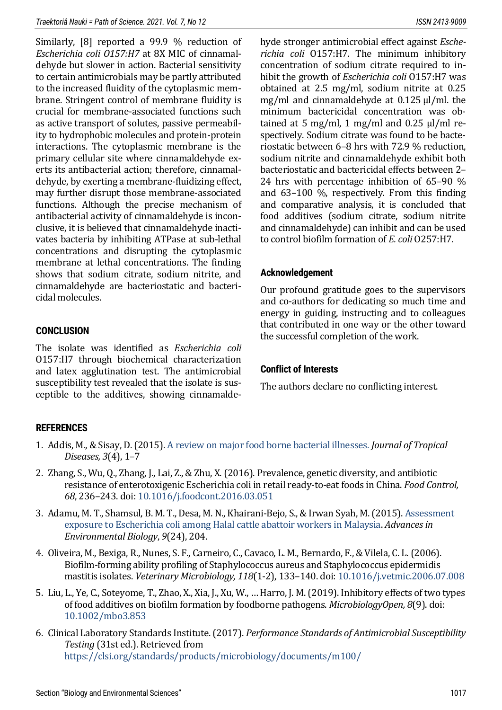Similarly, [8] reported a 99.9 % reduction of *Escherichia coli O157:H7* at 8X MIC of cinnamaldehyde but slower in action. Bacterial sensitivity to certain antimicrobials may be partly attributed to the increased fluidity of the cytoplasmic membrane. Stringent control of membrane fluidity is crucial for membrane-associated functions such as active transport of solutes, passive permeability to hydrophobic molecules and protein-protein interactions. The cytoplasmic membrane is the primary cellular site where cinnamaldehyde exerts its antibacterial action; therefore, cinnamaldehyde, by exerting a membrane-fluidizing effect, may further disrupt those membrane-associated functions. Although the precise mechanism of antibacterial activity of cinnamaldehyde is inconclusive, it is believed that cinnamaldehyde inactivates bacteria by inhibiting ATPase at sub-lethal concentrations and disrupting the cytoplasmic membrane at lethal concentrations. The finding shows that sodium citrate, sodium nitrite, and cinnamaldehyde are bacteriostatic and bactericidal molecules.

# **CONCLUSION**

The isolate was identified as *Escherichia coli*  O157:H7 through biochemical characterization and latex agglutination test. The antimicrobial susceptibility test revealed that the isolate is susceptible to the additives, showing cinnamaldehyde stronger antimicrobial effect against *Escherichia coli* O157:H7. The minimum inhibitory concentration of sodium citrate required to inhibit the growth of *Escherichia coli* O157:H7 was obtained at 2.5 mg/ml, sodium nitrite at 0.25 mg/ml and cinnamaldehyde at 0.125 µl/ml. the minimum bactericidal concentration was obtained at 5 mg/ml, 1 mg/ml and 0.25  $\mu$ l/ml respectively. Sodium citrate was found to be bacteriostatic between 6–8 hrs with 72.9 % reduction, sodium nitrite and cinnamaldehyde exhibit both bacteriostatic and bactericidal effects between 2– 24 hrs with percentage inhibition of 65–90 % and 63–100 %, respectively*.* From this finding and comparative analysis, it is concluded that food additives (sodium citrate, sodium nitrite and cinnamaldehyde) can inhibit and can be used to control biofilm formation of *E. coli* O257:H7.

# **Acknowledgement**

Our profound gratitude goes to the supervisors and co-authors for dedicating so much time and energy in guiding, instructing and to colleagues that contributed in one way or the other toward the successful completion of the work.

# **Conflict of Interests**

The authors declare no conflicting interest.

# **REFERENCES**

- 1. Addis, M., & Sisay, D. (2015)[. A review on major food borne bacterial illnesses.](https://www.walshmedicalmedia.com/open-access/a-review-on-major-food-borne-bacterial-illnesses-2329-891X-1000176.pdf) *Journal of Tropical Diseases, 3*(4), 1–7
- 2. Zhang, S., Wu, Q., Zhang, J., Lai, Z., & Zhu, X. (2016). Prevalence, genetic diversity, and antibiotic resistance of enterotoxigenic Escherichia coli in retail ready-to-eat foods in China. *Food Control, 68*, 236–243. doi: [10.1016/j.foodcont.2016.03.051](https://doi.org/10.1016/j.foodcont.2016.03.051)
- 3. Adamu, M. T., Shamsul, B. M. T., Desa, M. N., Khairani-Bejo, S., & Irwan Syah, M. (2015)[. Assessment](https://go.gale.com/ps/i.do?id=GALE%7CA440552122&sid=googleScholar&v=2.1&it=r&linkaccess=abs&issn=19950756&p=AONE&sw=w&userGroupName=anon%7Eeafa9f02)  [exposure to Escherichia coli among Halal cattle abattoir workers in Malaysia.](https://go.gale.com/ps/i.do?id=GALE%7CA440552122&sid=googleScholar&v=2.1&it=r&linkaccess=abs&issn=19950756&p=AONE&sw=w&userGroupName=anon%7Eeafa9f02) *Advancesin Environmental Biology*, *9*(24), 204.
- 4. Oliveira, M., Bexiga, R., Nunes, S. F., Carneiro, C., Cavaco, L. M., Bernardo, F., & Vilela, C. L. (2006). Biofilm-forming ability profiling of Staphylococcus aureus and Staphylococcus epidermidis mastitis isolates. *Veterinary Microbiology, 118*(1-2), 133–140. doi: [10.1016/j.vetmic.2006.07.008](https://doi.org/10.1016/j.vetmic.2006.07.008)
- 5. Liu, L., Ye, C., Soteyome, T., Zhao, X., Xia, J., Xu, W., … Harro, J. M. (2019). Inhibitory effects of two types of food additives on biofilm formation by foodborne pathogens. *MicrobiologyOpen, 8*(9). doi: [10.1002/mbo3.853](https://doi.org/10.1002/mbo3.853)
- 6. Clinical Laboratory Standards Institute. (2017). *Performance Standards of Antimicrobial Susceptibility Testing* (31st ed.). Retrieved from <https://clsi.org/standards/products/microbiology/documents/m100/>